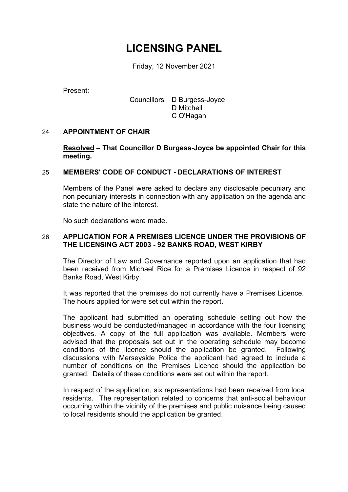# **LICENSING PANEL**

Friday, 12 November 2021

Present:

## Councillors D Burgess-Joyce D Mitchell C O'Hagan

## 24 **APPOINTMENT OF CHAIR**

**Resolved – That Councillor D Burgess-Joyce be appointed Chair for this meeting.**

## 25 **MEMBERS' CODE OF CONDUCT - DECLARATIONS OF INTEREST**

Members of the Panel were asked to declare any disclosable pecuniary and non pecuniary interests in connection with any application on the agenda and state the nature of the interest.

No such declarations were made.

#### 26 **APPLICATION FOR A PREMISES LICENCE UNDER THE PROVISIONS OF THE LICENSING ACT 2003 - 92 BANKS ROAD, WEST KIRBY**

The Director of Law and Governance reported upon an application that had been received from Michael Rice for a Premises Licence in respect of 92 Banks Road, West Kirby.

It was reported that the premises do not currently have a Premises Licence. The hours applied for were set out within the report.

The applicant had submitted an operating schedule setting out how the business would be conducted/managed in accordance with the four licensing objectives. A copy of the full application was available. Members were advised that the proposals set out in the operating schedule may become conditions of the licence should the application be granted. Following discussions with Merseyside Police the applicant had agreed to include a number of conditions on the Premises Licence should the application be granted. Details of these conditions were set out within the report.

In respect of the application, six representations had been received from local residents. The representation related to concerns that anti-social behaviour occurring within the vicinity of the premises and public nuisance being caused to local residents should the application be granted.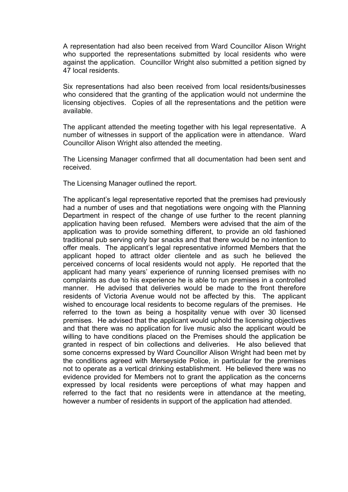A representation had also been received from Ward Councillor Alison Wright who supported the representations submitted by local residents who were against the application. Councillor Wright also submitted a petition signed by 47 local residents.

Six representations had also been received from local residents/businesses who considered that the granting of the application would not undermine the licensing objectives. Copies of all the representations and the petition were available.

The applicant attended the meeting together with his legal representative. A number of witnesses in support of the application were in attendance. Ward Councillor Alison Wright also attended the meeting.

The Licensing Manager confirmed that all documentation had been sent and received.

The Licensing Manager outlined the report.

The applicant's legal representative reported that the premises had previously had a number of uses and that negotiations were ongoing with the Planning Department in respect of the change of use further to the recent planning application having been refused. Members were advised that the aim of the application was to provide something different, to provide an old fashioned traditional pub serving only bar snacks and that there would be no intention to offer meals. The applicant's legal representative informed Members that the applicant hoped to attract older clientele and as such he believed the perceived concerns of local residents would not apply. He reported that the applicant had many years' experience of running licensed premises with no complaints as due to his experience he is able to run premises in a controlled manner. He advised that deliveries would be made to the front therefore residents of Victoria Avenue would not be affected by this. The applicant wished to encourage local residents to become regulars of the premises. He referred to the town as being a hospitality venue with over 30 licensed premises. He advised that the applicant would uphold the licensing objectives and that there was no application for live music also the applicant would be willing to have conditions placed on the Premises should the application be granted in respect of bin collections and deliveries. He also believed that some concerns expressed by Ward Councillor Alison Wright had been met by the conditions agreed with Merseyside Police, in particular for the premises not to operate as a vertical drinking establishment. He believed there was no evidence provided for Members not to grant the application as the concerns expressed by local residents were perceptions of what may happen and referred to the fact that no residents were in attendance at the meeting, however a number of residents in support of the application had attended.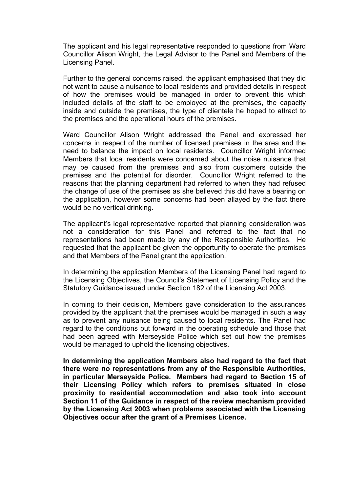The applicant and his legal representative responded to questions from Ward Councillor Alison Wright, the Legal Advisor to the Panel and Members of the Licensing Panel.

Further to the general concerns raised, the applicant emphasised that they did not want to cause a nuisance to local residents and provided details in respect of how the premises would be managed in order to prevent this which included details of the staff to be employed at the premises, the capacity inside and outside the premises, the type of clientele he hoped to attract to the premises and the operational hours of the premises.

Ward Councillor Alison Wright addressed the Panel and expressed her concerns in respect of the number of licensed premises in the area and the need to balance the impact on local residents. Councillor Wright informed Members that local residents were concerned about the noise nuisance that may be caused from the premises and also from customers outside the premises and the potential for disorder. Councillor Wright referred to the reasons that the planning department had referred to when they had refused the change of use of the premises as she believed this did have a bearing on the application, however some concerns had been allayed by the fact there would be no vertical drinking.

The applicant's legal representative reported that planning consideration was not a consideration for this Panel and referred to the fact that no representations had been made by any of the Responsible Authorities. He requested that the applicant be given the opportunity to operate the premises and that Members of the Panel grant the application.

In determining the application Members of the Licensing Panel had regard to the Licensing Objectives, the Council's Statement of Licensing Policy and the Statutory Guidance issued under Section 182 of the Licensing Act 2003.

In coming to their decision, Members gave consideration to the assurances provided by the applicant that the premises would be managed in such a way as to prevent any nuisance being caused to local residents. The Panel had regard to the conditions put forward in the operating schedule and those that had been agreed with Merseyside Police which set out how the premises would be managed to uphold the licensing objectives.

**In determining the application Members also had regard to the fact that there were no representations from any of the Responsible Authorities, in particular Merseyside Police. Members had regard to Section 15 of their Licensing Policy which refers to premises situated in close proximity to residential accommodation and also took into account Section 11 of the Guidance in respect of the review mechanism provided by the Licensing Act 2003 when problems associated with the Licensing Objectives occur after the grant of a Premises Licence.**